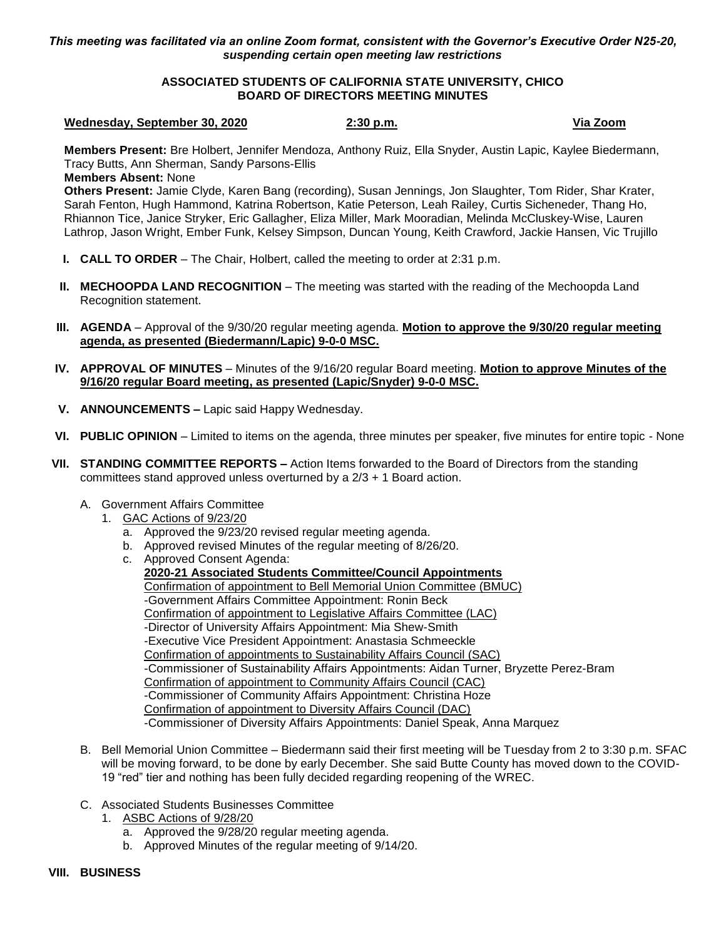*This meeting was facilitated via an online Zoom format, consistent with the Governor's Executive Order N25-20, suspending certain open meeting law restrictions*

## **ASSOCIATED STUDENTS OF CALIFORNIA STATE UNIVERSITY, CHICO BOARD OF DIRECTORS MEETING MINUTES**

## **Wednesday, September 30, 2020 2:30 p.m. Via Zoom**

**Members Present:** Bre Holbert, Jennifer Mendoza, Anthony Ruiz, Ella Snyder, Austin Lapic, Kaylee Biedermann, Tracy Butts, Ann Sherman, Sandy Parsons-Ellis

**Members Absent:** None

**Others Present:** Jamie Clyde, Karen Bang (recording), Susan Jennings, Jon Slaughter, Tom Rider, Shar Krater, Sarah Fenton, Hugh Hammond, Katrina Robertson, Katie Peterson, Leah Railey, Curtis Sicheneder, Thang Ho, Rhiannon Tice, Janice Stryker, Eric Gallagher, Eliza Miller, Mark Mooradian, Melinda McCluskey-Wise, Lauren Lathrop, Jason Wright, Ember Funk, Kelsey Simpson, Duncan Young, Keith Crawford, Jackie Hansen, Vic Trujillo

- **I. CALL TO ORDER** The Chair, Holbert, called the meeting to order at 2:31 p.m.
- **II.** MECHOOPDA LAND RECOGNITION The meeting was started with the reading of the Mechoopda Land Recognition statement.
- **III. AGENDA** Approval of the 9/30/20 regular meeting agenda. **Motion to approve the 9/30/20 regular meeting agenda, as presented (Biedermann/Lapic) 9-0-0 MSC.**
- **IV. APPROVAL OF MINUTES** Minutes of the 9/16/20 regular Board meeting. **Motion to approve Minutes of the 9/16/20 regular Board meeting, as presented (Lapic/Snyder) 9-0-0 MSC.**
- **V. ANNOUNCEMENTS –** Lapic said Happy Wednesday.
- **VI. PUBLIC OPINION** Limited to items on the agenda, three minutes per speaker, five minutes for entire topic None
- **VII. STANDING COMMITTEE REPORTS –** Action Items forwarded to the Board of Directors from the standing committees stand approved unless overturned by a 2/3 + 1 Board action.
	- A. Government Affairs Committee
		- 1. GAC Actions of 9/23/20
			- a. Approved the 9/23/20 revised regular meeting agenda.
			- b. Approved revised Minutes of the regular meeting of 8/26/20.
			- c. Approved Consent Agenda: **2020-21 Associated Students Committee/Council Appointments** Confirmation of appointment to Bell Memorial Union Committee (BMUC) -Government Affairs Committee Appointment: Ronin Beck Confirmation of appointment to Legislative Affairs Committee (LAC) -Director of University Affairs Appointment: Mia Shew-Smith -Executive Vice President Appointment: Anastasia Schmeeckle Confirmation of appointments to Sustainability Affairs Council (SAC) -Commissioner of Sustainability Affairs Appointments: Aidan Turner, Bryzette Perez-Bram Confirmation of appointment to Community Affairs Council (CAC) -Commissioner of Community Affairs Appointment: Christina Hoze Confirmation of appointment to Diversity Affairs Council (DAC) -Commissioner of Diversity Affairs Appointments: Daniel Speak, Anna Marquez
	- B. Bell Memorial Union Committee Biedermann said their first meeting will be Tuesday from 2 to 3:30 p.m. SFAC will be moving forward, to be done by early December. She said Butte County has moved down to the COVID-19 "red" tier and nothing has been fully decided regarding reopening of the WREC.
	- C. Associated Students Businesses Committee
		- 1. ASBC Actions of 9/28/20
			- a. Approved the 9/28/20 regular meeting agenda.
			- b. Approved Minutes of the regular meeting of 9/14/20.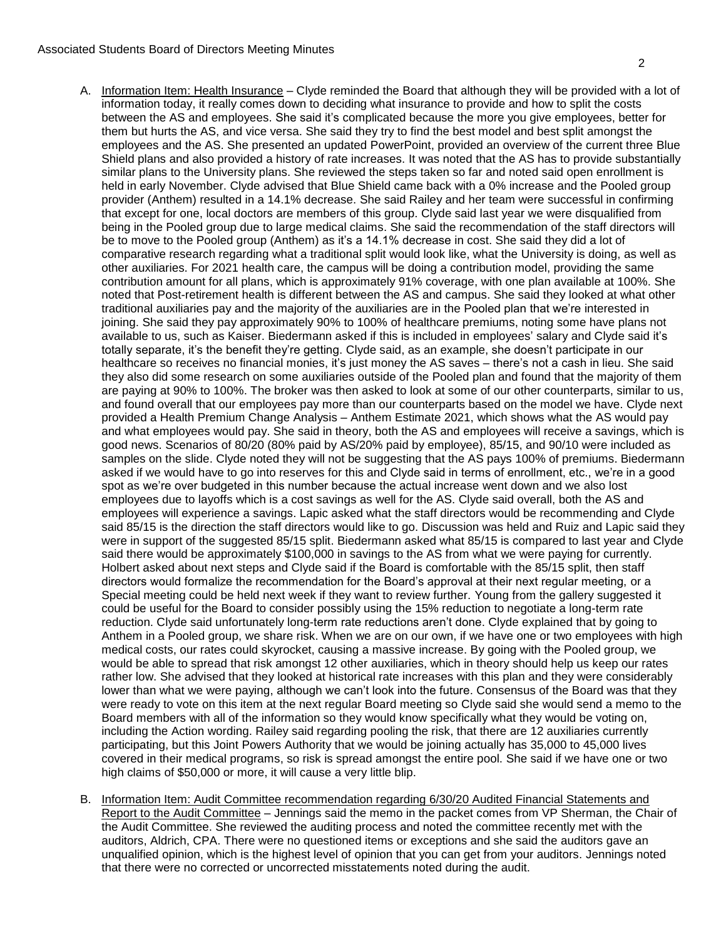## Associated Students Board of Directors Meeting Minutes

- A. Information Item: Health Insurance Clyde reminded the Board that although they will be provided with a lot of information today, it really comes down to deciding what insurance to provide and how to split the costs between the AS and employees. She said it's complicated because the more you give employees, better for them but hurts the AS, and vice versa. She said they try to find the best model and best split amongst the employees and the AS. She presented an updated PowerPoint, provided an overview of the current three Blue Shield plans and also provided a history of rate increases. It was noted that the AS has to provide substantially similar plans to the University plans. She reviewed the steps taken so far and noted said open enrollment is held in early November. Clyde advised that Blue Shield came back with a 0% increase and the Pooled group provider (Anthem) resulted in a 14.1% decrease. She said Railey and her team were successful in confirming that except for one, local doctors are members of this group. Clyde said last year we were disqualified from being in the Pooled group due to large medical claims. She said the recommendation of the staff directors will be to move to the Pooled group (Anthem) as it's a 14.1% decrease in cost. She said they did a lot of comparative research regarding what a traditional split would look like, what the University is doing, as well as other auxiliaries. For 2021 health care, the campus will be doing a contribution model, providing the same contribution amount for all plans, which is approximately 91% coverage, with one plan available at 100%. She noted that Post-retirement health is different between the AS and campus. She said they looked at what other traditional auxiliaries pay and the majority of the auxiliaries are in the Pooled plan that we're interested in joining. She said they pay approximately 90% to 100% of healthcare premiums, noting some have plans not available to us, such as Kaiser. Biedermann asked if this is included in employees' salary and Clyde said it's totally separate, it's the benefit they're getting. Clyde said, as an example, she doesn't participate in our healthcare so receives no financial monies, it's just money the AS saves – there's not a cash in lieu. She said they also did some research on some auxiliaries outside of the Pooled plan and found that the majority of them are paying at 90% to 100%. The broker was then asked to look at some of our other counterparts, similar to us, and found overall that our employees pay more than our counterparts based on the model we have. Clyde next provided a Health Premium Change Analysis – Anthem Estimate 2021, which shows what the AS would pay and what employees would pay. She said in theory, both the AS and employees will receive a savings, which is good news. Scenarios of 80/20 (80% paid by AS/20% paid by employee), 85/15, and 90/10 were included as samples on the slide. Clyde noted they will not be suggesting that the AS pays 100% of premiums. Biedermann asked if we would have to go into reserves for this and Clyde said in terms of enrollment, etc., we're in a good spot as we're over budgeted in this number because the actual increase went down and we also lost employees due to layoffs which is a cost savings as well for the AS. Clyde said overall, both the AS and employees will experience a savings. Lapic asked what the staff directors would be recommending and Clyde said 85/15 is the direction the staff directors would like to go. Discussion was held and Ruiz and Lapic said they were in support of the suggested 85/15 split. Biedermann asked what 85/15 is compared to last year and Clyde said there would be approximately \$100,000 in savings to the AS from what we were paying for currently. Holbert asked about next steps and Clyde said if the Board is comfortable with the 85/15 split, then staff directors would formalize the recommendation for the Board's approval at their next regular meeting, or a Special meeting could be held next week if they want to review further. Young from the gallery suggested it could be useful for the Board to consider possibly using the 15% reduction to negotiate a long-term rate reduction. Clyde said unfortunately long-term rate reductions aren't done. Clyde explained that by going to Anthem in a Pooled group, we share risk. When we are on our own, if we have one or two employees with high medical costs, our rates could skyrocket, causing a massive increase. By going with the Pooled group, we would be able to spread that risk amongst 12 other auxiliaries, which in theory should help us keep our rates rather low. She advised that they looked at historical rate increases with this plan and they were considerably lower than what we were paying, although we can't look into the future. Consensus of the Board was that they were ready to vote on this item at the next regular Board meeting so Clyde said she would send a memo to the Board members with all of the information so they would know specifically what they would be voting on, including the Action wording. Railey said regarding pooling the risk, that there are 12 auxiliaries currently participating, but this Joint Powers Authority that we would be joining actually has 35,000 to 45,000 lives covered in their medical programs, so risk is spread amongst the entire pool. She said if we have one or two high claims of \$50,000 or more, it will cause a very little blip.
- B. Information Item: Audit Committee recommendation regarding 6/30/20 Audited Financial Statements and Report to the Audit Committee - Jennings said the memo in the packet comes from VP Sherman, the Chair of the Audit Committee. She reviewed the auditing process and noted the committee recently met with the auditors, Aldrich, CPA. There were no questioned items or exceptions and she said the auditors gave an unqualified opinion, which is the highest level of opinion that you can get from your auditors. Jennings noted that there were no corrected or uncorrected misstatements noted during the audit.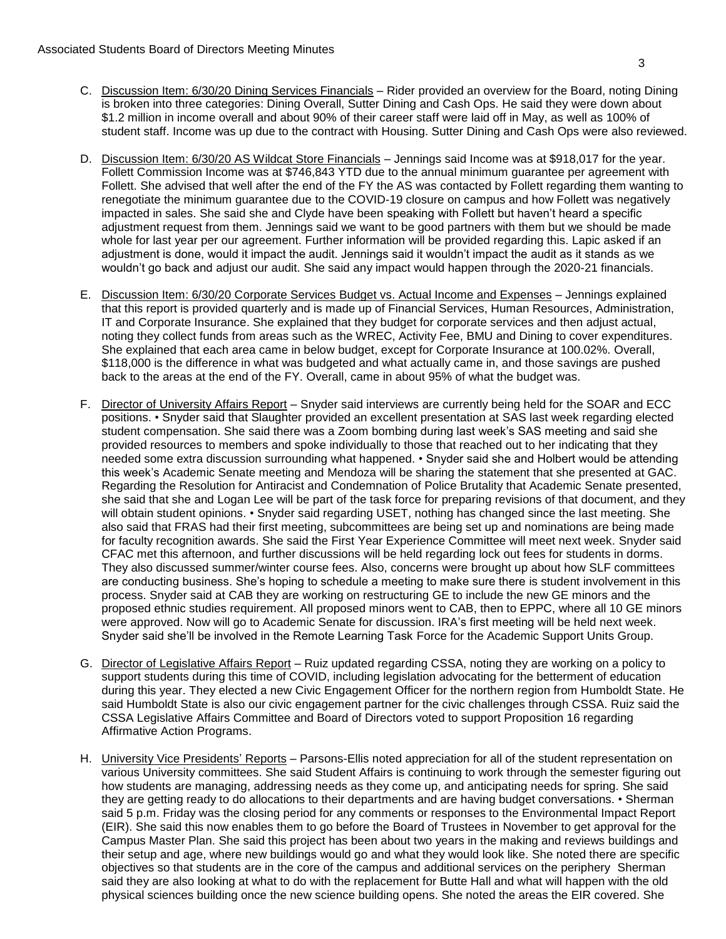- C. Discussion Item: 6/30/20 Dining Services Financials Rider provided an overview for the Board, noting Dining is broken into three categories: Dining Overall, Sutter Dining and Cash Ops. He said they were down about \$1.2 million in income overall and about 90% of their career staff were laid off in May, as well as 100% of student staff. Income was up due to the contract with Housing. Sutter Dining and Cash Ops were also reviewed.
- D. Discussion Item: 6/30/20 AS Wildcat Store Financials Jennings said Income was at \$918,017 for the year. Follett Commission Income was at \$746,843 YTD due to the annual minimum guarantee per agreement with Follett. She advised that well after the end of the FY the AS was contacted by Follett regarding them wanting to renegotiate the minimum guarantee due to the COVID-19 closure on campus and how Follett was negatively impacted in sales. She said she and Clyde have been speaking with Follett but haven't heard a specific adjustment request from them. Jennings said we want to be good partners with them but we should be made whole for last year per our agreement. Further information will be provided regarding this. Lapic asked if an adjustment is done, would it impact the audit. Jennings said it wouldn't impact the audit as it stands as we wouldn't go back and adjust our audit. She said any impact would happen through the 2020-21 financials.
- E. Discussion Item: 6/30/20 Corporate Services Budget vs. Actual Income and Expenses Jennings explained that this report is provided quarterly and is made up of Financial Services, Human Resources, Administration, IT and Corporate Insurance. She explained that they budget for corporate services and then adjust actual, noting they collect funds from areas such as the WREC, Activity Fee, BMU and Dining to cover expenditures. She explained that each area came in below budget, except for Corporate Insurance at 100.02%. Overall, \$118,000 is the difference in what was budgeted and what actually came in, and those savings are pushed back to the areas at the end of the FY. Overall, came in about 95% of what the budget was.
- F. Director of University Affairs Report Snyder said interviews are currently being held for the SOAR and ECC positions. • Snyder said that Slaughter provided an excellent presentation at SAS last week regarding elected student compensation. She said there was a Zoom bombing during last week's SAS meeting and said she provided resources to members and spoke individually to those that reached out to her indicating that they needed some extra discussion surrounding what happened. • Snyder said she and Holbert would be attending this week's Academic Senate meeting and Mendoza will be sharing the statement that she presented at GAC. Regarding the Resolution for Antiracist and Condemnation of Police Brutality that Academic Senate presented, she said that she and Logan Lee will be part of the task force for preparing revisions of that document, and they will obtain student opinions. • Snyder said regarding USET, nothing has changed since the last meeting. She also said that FRAS had their first meeting, subcommittees are being set up and nominations are being made for faculty recognition awards. She said the First Year Experience Committee will meet next week. Snyder said CFAC met this afternoon, and further discussions will be held regarding lock out fees for students in dorms. They also discussed summer/winter course fees. Also, concerns were brought up about how SLF committees are conducting business. She's hoping to schedule a meeting to make sure there is student involvement in this process. Snyder said at CAB they are working on restructuring GE to include the new GE minors and the proposed ethnic studies requirement. All proposed minors went to CAB, then to EPPC, where all 10 GE minors were approved. Now will go to Academic Senate for discussion. IRA's first meeting will be held next week. Snyder said she'll be involved in the Remote Learning Task Force for the Academic Support Units Group.
- G. Director of Legislative Affairs Report Ruiz updated regarding CSSA, noting they are working on a policy to support students during this time of COVID, including legislation advocating for the betterment of education during this year. They elected a new Civic Engagement Officer for the northern region from Humboldt State. He said Humboldt State is also our civic engagement partner for the civic challenges through CSSA. Ruiz said the CSSA Legislative Affairs Committee and Board of Directors voted to support Proposition 16 regarding Affirmative Action Programs.
- H. University Vice Presidents' Reports Parsons-Ellis noted appreciation for all of the student representation on various University committees. She said Student Affairs is continuing to work through the semester figuring out how students are managing, addressing needs as they come up, and anticipating needs for spring. She said they are getting ready to do allocations to their departments and are having budget conversations. • Sherman said 5 p.m. Friday was the closing period for any comments or responses to the Environmental Impact Report (EIR). She said this now enables them to go before the Board of Trustees in November to get approval for the Campus Master Plan. She said this project has been about two years in the making and reviews buildings and their setup and age, where new buildings would go and what they would look like. She noted there are specific objectives so that students are in the core of the campus and additional services on the periphery Sherman said they are also looking at what to do with the replacement for Butte Hall and what will happen with the old physical sciences building once the new science building opens. She noted the areas the EIR covered. She